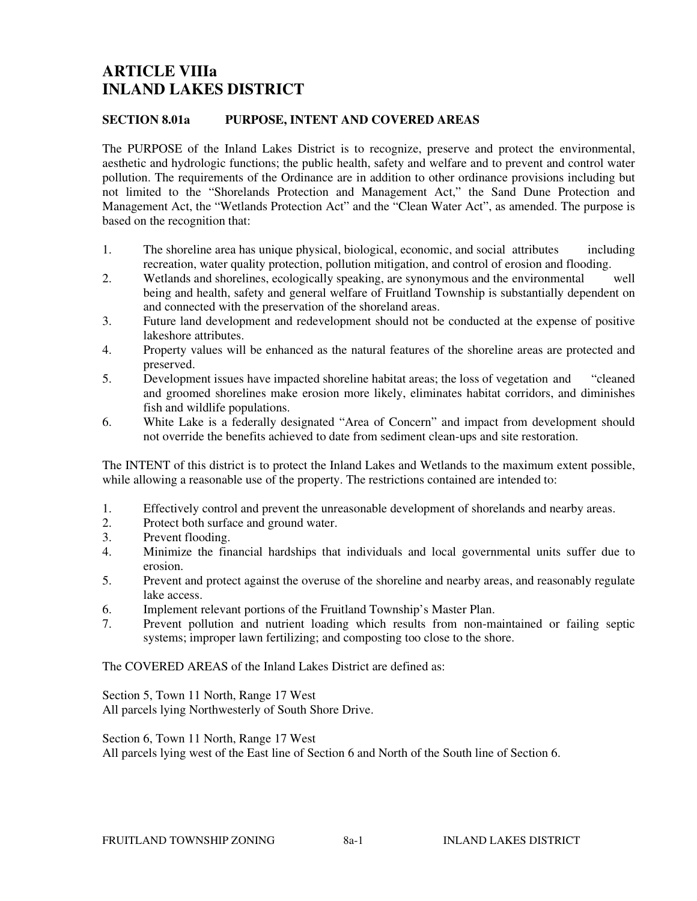# **ARTICLE VIIIa INLAND LAKES DISTRICT**

### **SECTION 8.01a PURPOSE, INTENT AND COVERED AREAS**

The PURPOSE of the Inland Lakes District is to recognize, preserve and protect the environmental, aesthetic and hydrologic functions; the public health, safety and welfare and to prevent and control water pollution. The requirements of the Ordinance are in addition to other ordinance provisions including but not limited to the "Shorelands Protection and Management Act," the Sand Dune Protection and Management Act, the "Wetlands Protection Act" and the "Clean Water Act", as amended. The purpose is based on the recognition that:

- 1. The shoreline area has unique physical, biological, economic, and social attributes including recreation, water quality protection, pollution mitigation, and control of erosion and flooding.
- 2. Wetlands and shorelines, ecologically speaking, are synonymous and the environmental well being and health, safety and general welfare of Fruitland Township is substantially dependent on and connected with the preservation of the shoreland areas.
- 3. Future land development and redevelopment should not be conducted at the expense of positive lakeshore attributes.
- 4. Property values will be enhanced as the natural features of the shoreline areas are protected and preserved.
- 5. Development issues have impacted shoreline habitat areas; the loss of vegetation and "cleaned and groomed shorelines make erosion more likely, eliminates habitat corridors, and diminishes fish and wildlife populations.
- 6. White Lake is a federally designated "Area of Concern" and impact from development should not override the benefits achieved to date from sediment clean-ups and site restoration.

The INTENT of this district is to protect the Inland Lakes and Wetlands to the maximum extent possible, while allowing a reasonable use of the property. The restrictions contained are intended to:

- 1. Effectively control and prevent the unreasonable development of shorelands and nearby areas.
- 2. Protect both surface and ground water.
- 3. Prevent flooding.<br>4 Minimize the fin
- 4. Minimize the financial hardships that individuals and local governmental units suffer due to erosion.
- 5. Prevent and protect against the overuse of the shoreline and nearby areas, and reasonably regulate lake access.
- 6. Implement relevant portions of the Fruitland Township's Master Plan.
- 7. Prevent pollution and nutrient loading which results from non-maintained or failing septic systems; improper lawn fertilizing; and composting too close to the shore.

The COVERED AREAS of the Inland Lakes District are defined as:

Section 5, Town 11 North, Range 17 West All parcels lying Northwesterly of South Shore Drive.

Section 6, Town 11 North, Range 17 West

All parcels lying west of the East line of Section 6 and North of the South line of Section 6.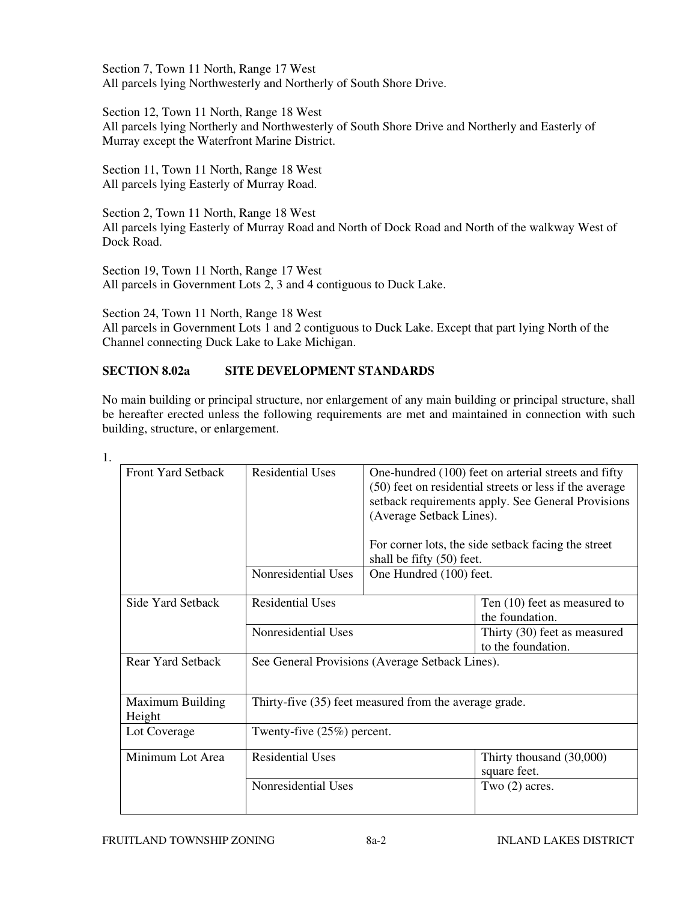Section 7, Town 11 North, Range 17 West All parcels lying Northwesterly and Northerly of South Shore Drive.

Section 12, Town 11 North, Range 18 West All parcels lying Northerly and Northwesterly of South Shore Drive and Northerly and Easterly of Murray except the Waterfront Marine District.

Section 11, Town 11 North, Range 18 West All parcels lying Easterly of Murray Road.

Section 2, Town 11 North, Range 18 West All parcels lying Easterly of Murray Road and North of Dock Road and North of the walkway West of Dock Road.

Section 19, Town 11 North, Range 17 West All parcels in Government Lots 2, 3 and 4 contiguous to Duck Lake.

Section 24, Town 11 North, Range 18 West

All parcels in Government Lots 1 and 2 contiguous to Duck Lake. Except that part lying North of the Channel connecting Duck Lake to Lake Michigan.

## **SECTION 8.02a SITE DEVELOPMENT STANDARDS**

No main building or principal structure, nor enlargement of any main building or principal structure, shall be hereafter erected unless the following requirements are met and maintained in connection with such building, structure, or enlargement.

| <b>Front Yard Setback</b>                   | <b>Residential Uses</b>                                | One-hundred (100) feet on arterial streets and fifty<br>(50) feet on residential streets or less if the average<br>setback requirements apply. See General Provisions<br>(Average Setback Lines).<br>For corner lots, the side setback facing the street<br>shall be fifty (50) feet. |                                                    |
|---------------------------------------------|--------------------------------------------------------|---------------------------------------------------------------------------------------------------------------------------------------------------------------------------------------------------------------------------------------------------------------------------------------|----------------------------------------------------|
|                                             | Nonresidential Uses                                    | One Hundred (100) feet.                                                                                                                                                                                                                                                               |                                                    |
| Side Yard Setback                           | <b>Residential Uses</b>                                |                                                                                                                                                                                                                                                                                       | Ten (10) feet as measured to<br>the foundation.    |
|                                             | Nonresidential Uses                                    |                                                                                                                                                                                                                                                                                       | Thirty (30) feet as measured<br>to the foundation. |
| <b>Rear Yard Setback</b>                    | See General Provisions (Average Setback Lines).        |                                                                                                                                                                                                                                                                                       |                                                    |
| <b>Maximum Building</b><br>Height           | Thirty-five (35) feet measured from the average grade. |                                                                                                                                                                                                                                                                                       |                                                    |
| Lot Coverage                                | Twenty-five $(25%)$ percent.                           |                                                                                                                                                                                                                                                                                       |                                                    |
| Minimum Lot Area<br><b>Residential Uses</b> |                                                        |                                                                                                                                                                                                                                                                                       | Thirty thousand (30,000)<br>square feet.           |
|                                             | Nonresidential Uses                                    |                                                                                                                                                                                                                                                                                       | Two $(2)$ acres.                                   |

1.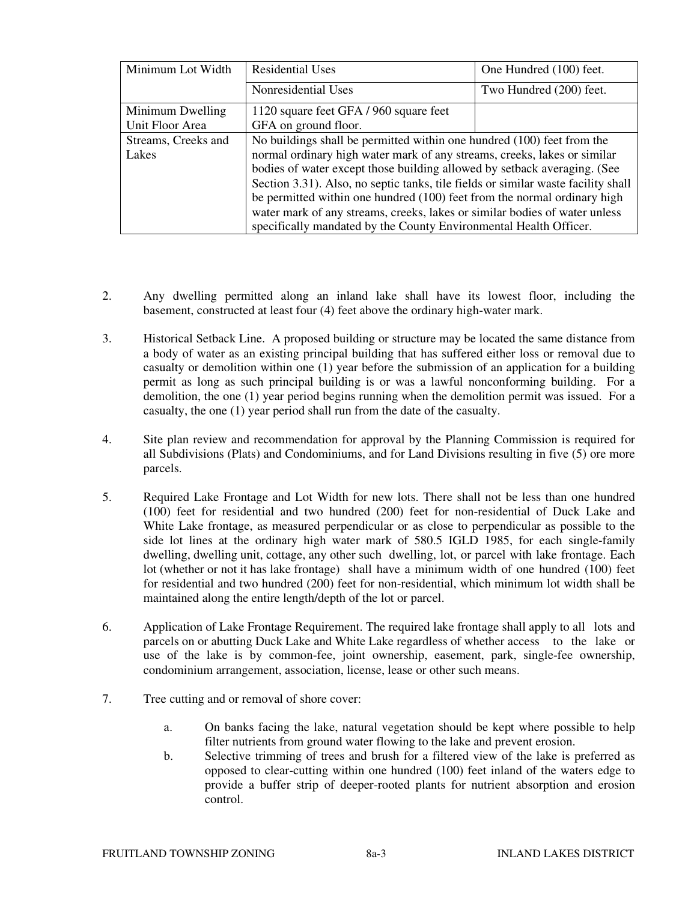| Minimum Lot Width   | <b>Residential Uses</b>                                                           | One Hundred (100) feet. |  |
|---------------------|-----------------------------------------------------------------------------------|-------------------------|--|
|                     | Nonresidential Uses                                                               | Two Hundred (200) feet. |  |
| Minimum Dwelling    | 1120 square feet GFA / 960 square feet                                            |                         |  |
| Unit Floor Area     | GFA on ground floor.                                                              |                         |  |
| Streams, Creeks and | No buildings shall be permitted within one hundred (100) feet from the            |                         |  |
| Lakes               | normal ordinary high water mark of any streams, creeks, lakes or similar          |                         |  |
|                     | bodies of water except those building allowed by setback averaging. (See          |                         |  |
|                     | Section 3.31). Also, no septic tanks, tile fields or similar waste facility shall |                         |  |
|                     | be permitted within one hundred (100) feet from the normal ordinary high          |                         |  |
|                     | water mark of any streams, creeks, lakes or similar bodies of water unless        |                         |  |
|                     | specifically mandated by the County Environmental Health Officer.                 |                         |  |

- 2. Any dwelling permitted along an inland lake shall have its lowest floor, including the basement, constructed at least four (4) feet above the ordinary high-water mark.
- 3. Historical Setback Line. A proposed building or structure may be located the same distance from a body of water as an existing principal building that has suffered either loss or removal due to casualty or demolition within one (1) year before the submission of an application for a building permit as long as such principal building is or was a lawful nonconforming building. For a demolition, the one (1) year period begins running when the demolition permit was issued. For a casualty, the one (1) year period shall run from the date of the casualty.
- 4. Site plan review and recommendation for approval by the Planning Commission is required for all Subdivisions (Plats) and Condominiums, and for Land Divisions resulting in five (5) ore more parcels.
- 5. Required Lake Frontage and Lot Width for new lots. There shall not be less than one hundred (100) feet for residential and two hundred (200) feet for non-residential of Duck Lake and White Lake frontage, as measured perpendicular or as close to perpendicular as possible to the side lot lines at the ordinary high water mark of 580.5 IGLD 1985, for each single-family dwelling, dwelling unit, cottage, any other such dwelling, lot, or parcel with lake frontage. Each lot (whether or not it has lake frontage) shall have a minimum width of one hundred (100) feet for residential and two hundred (200) feet for non-residential, which minimum lot width shall be maintained along the entire length/depth of the lot or parcel.
- 6. Application of Lake Frontage Requirement. The required lake frontage shall apply to all lots and parcels on or abutting Duck Lake and White Lake regardless of whether access to the lake or use of the lake is by common-fee, joint ownership, easement, park, single-fee ownership, condominium arrangement, association, license, lease or other such means.
- 7. Tree cutting and or removal of shore cover:
	- a. On banks facing the lake, natural vegetation should be kept where possible to help filter nutrients from ground water flowing to the lake and prevent erosion.
	- b. Selective trimming of trees and brush for a filtered view of the lake is preferred as opposed to clear-cutting within one hundred (100) feet inland of the waters edge to provide a buffer strip of deeper-rooted plants for nutrient absorption and erosion control.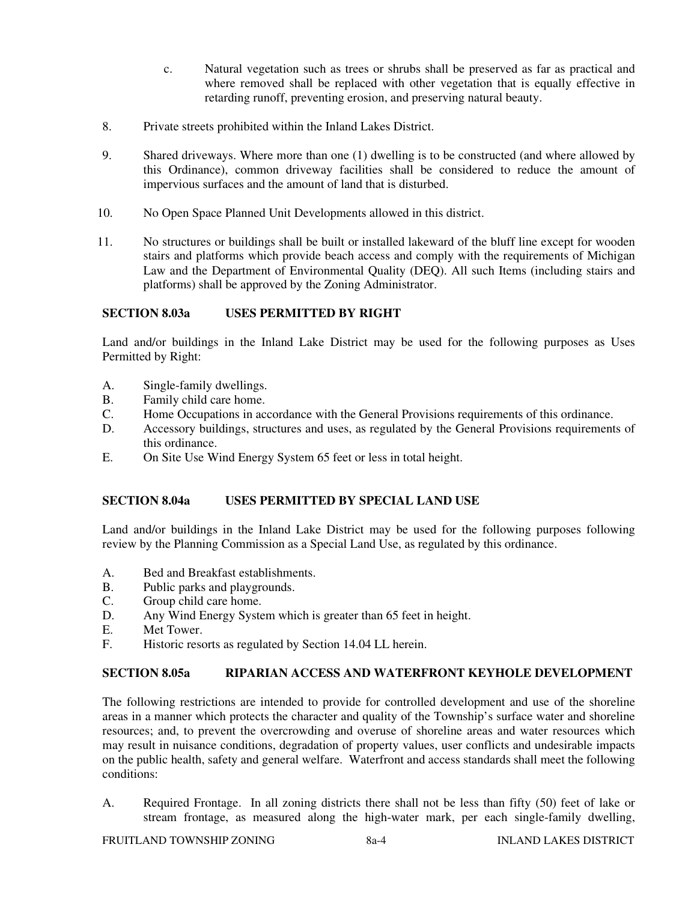- c. Natural vegetation such as trees or shrubs shall be preserved as far as practical and where removed shall be replaced with other vegetation that is equally effective in retarding runoff, preventing erosion, and preserving natural beauty.
- 8. Private streets prohibited within the Inland Lakes District.
- 9. Shared driveways. Where more than one (1) dwelling is to be constructed (and where allowed by this Ordinance), common driveway facilities shall be considered to reduce the amount of impervious surfaces and the amount of land that is disturbed.
- 10. No Open Space Planned Unit Developments allowed in this district.
- 11. No structures or buildings shall be built or installed lakeward of the bluff line except for wooden stairs and platforms which provide beach access and comply with the requirements of Michigan Law and the Department of Environmental Quality (DEQ). All such Items (including stairs and platforms) shall be approved by the Zoning Administrator.

### **SECTION 8.03a USES PERMITTED BY RIGHT**

Land and/or buildings in the Inland Lake District may be used for the following purposes as Uses Permitted by Right:

- A. Single-family dwellings.
- B. Family child care home.<br>C. Home Occupations in accurations
- Home Occupations in accordance with the General Provisions requirements of this ordinance.
- D. Accessory buildings, structures and uses, as regulated by the General Provisions requirements of this ordinance.
- E. On Site Use Wind Energy System 65 feet or less in total height.

#### **SECTION 8.04a USES PERMITTED BY SPECIAL LAND USE**

Land and/or buildings in the Inland Lake District may be used for the following purposes following review by the Planning Commission as a Special Land Use, as regulated by this ordinance.

- A. Bed and Breakfast establishments.
- B. Public parks and playgrounds.
- C. Group child care home.
- D. Any Wind Energy System which is greater than 65 feet in height.
- E. Met Tower.
- F. Historic resorts as regulated by Section 14.04 LL herein.

### **SECTION 8.05a RIPARIAN ACCESS AND WATERFRONT KEYHOLE DEVELOPMENT**

The following restrictions are intended to provide for controlled development and use of the shoreline areas in a manner which protects the character and quality of the Township's surface water and shoreline resources; and, to prevent the overcrowding and overuse of shoreline areas and water resources which may result in nuisance conditions, degradation of property values, user conflicts and undesirable impacts on the public health, safety and general welfare. Waterfront and access standards shall meet the following conditions:

A. Required Frontage. In all zoning districts there shall not be less than fifty (50) feet of lake or stream frontage, as measured along the high-water mark, per each single-family dwelling,